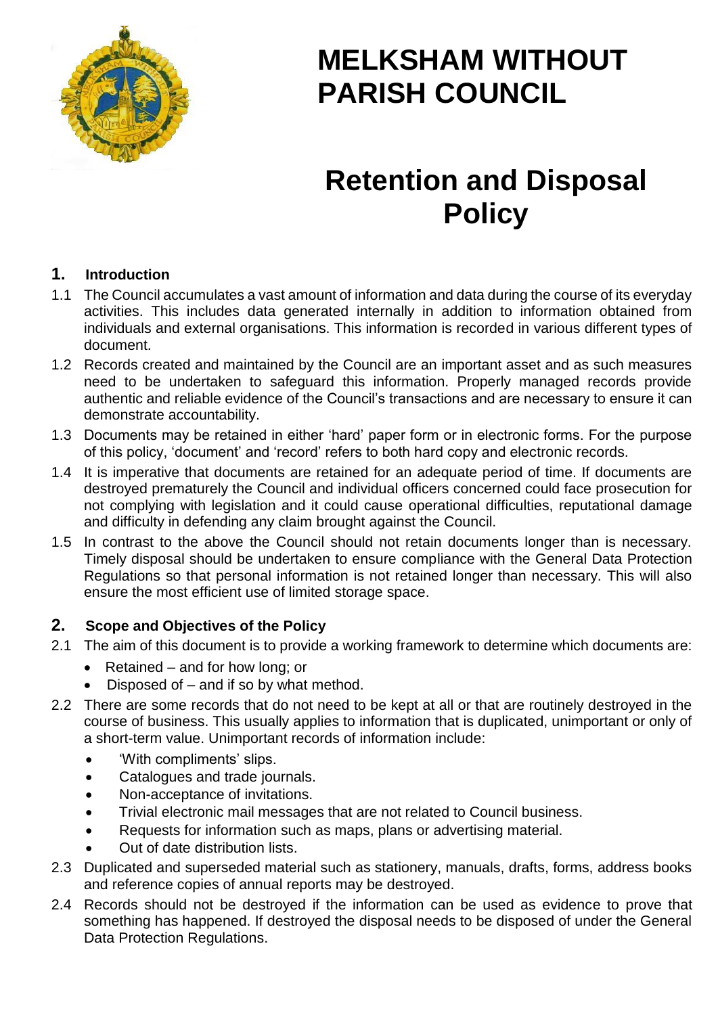

# **MELKSHAM WITHOUT PARISH COUNCIL**

# **Retention and Disposal Policy**

### **1. Introduction**

- 1.1 The Council accumulates a vast amount of information and data during the course of its everyday activities. This includes data generated internally in addition to information obtained from individuals and external organisations. This information is recorded in various different types of document.
- 1.2 Records created and maintained by the Council are an important asset and as such measures need to be undertaken to safeguard this information. Properly managed records provide authentic and reliable evidence of the Council's transactions and are necessary to ensure it can demonstrate accountability.
- 1.3 Documents may be retained in either 'hard' paper form or in electronic forms. For the purpose of this policy, 'document' and 'record' refers to both hard copy and electronic records.
- 1.4 It is imperative that documents are retained for an adequate period of time. If documents are destroyed prematurely the Council and individual officers concerned could face prosecution for not complying with legislation and it could cause operational difficulties, reputational damage and difficulty in defending any claim brought against the Council.
- 1.5 In contrast to the above the Council should not retain documents longer than is necessary. Timely disposal should be undertaken to ensure compliance with the General Data Protection Regulations so that personal information is not retained longer than necessary. This will also ensure the most efficient use of limited storage space.

### **2. Scope and Objectives of the Policy**

- 2.1 The aim of this document is to provide a working framework to determine which documents are:
	- Retained and for how long; or
	- Disposed of and if so by what method.
- 2.2 There are some records that do not need to be kept at all or that are routinely destroyed in the course of business. This usually applies to information that is duplicated, unimportant or only of a short-term value. Unimportant records of information include:
	- 'With compliments' slips.
	- Catalogues and trade journals.
	- Non-acceptance of invitations.
	- Trivial electronic mail messages that are not related to Council business.
	- Requests for information such as maps, plans or advertising material.
	- Out of date distribution lists.
- 2.3 Duplicated and superseded material such as stationery, manuals, drafts, forms, address books and reference copies of annual reports may be destroyed.
- 2.4 Records should not be destroyed if the information can be used as evidence to prove that something has happened. If destroyed the disposal needs to be disposed of under the General Data Protection Regulations.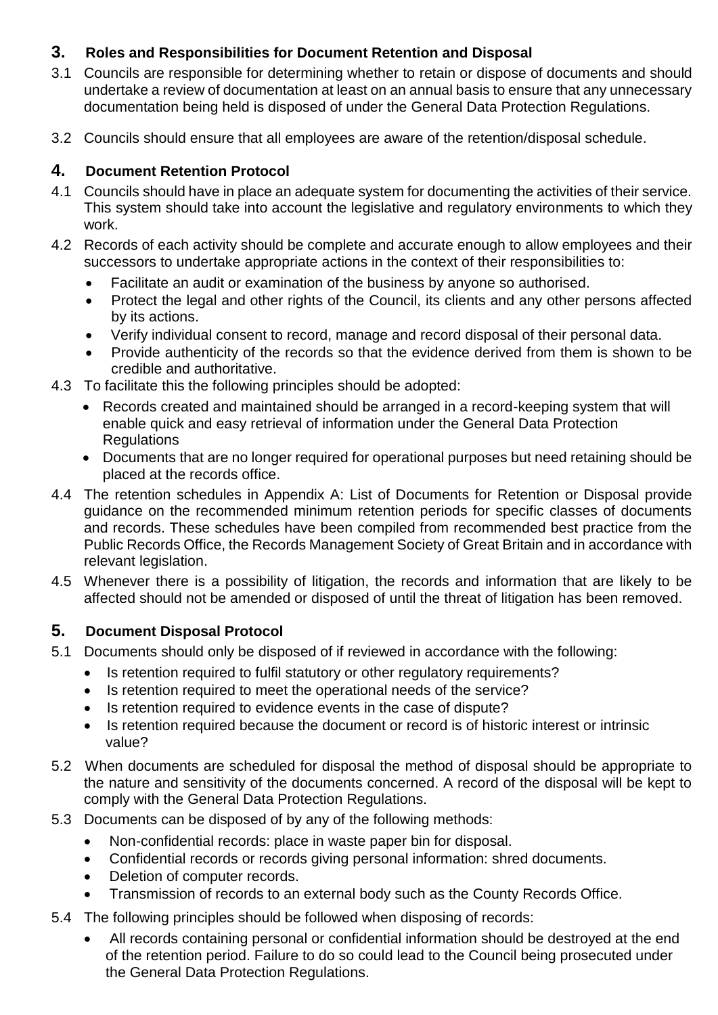## **3. Roles and Responsibilities for Document Retention and Disposal**

- 3.1 Councils are responsible for determining whether to retain or dispose of documents and should undertake a review of documentation at least on an annual basis to ensure that any unnecessary documentation being held is disposed of under the General Data Protection Regulations.
- 3.2 Councils should ensure that all employees are aware of the retention/disposal schedule.

## **4. Document Retention Protocol**

- 4.1 Councils should have in place an adequate system for documenting the activities of their service. This system should take into account the legislative and regulatory environments to which they work.
- 4.2 Records of each activity should be complete and accurate enough to allow employees and their successors to undertake appropriate actions in the context of their responsibilities to:
	- Facilitate an audit or examination of the business by anyone so authorised.
	- Protect the legal and other rights of the Council, its clients and any other persons affected by its actions.
	- Verify individual consent to record, manage and record disposal of their personal data.
	- Provide authenticity of the records so that the evidence derived from them is shown to be credible and authoritative.
- 4.3 To facilitate this the following principles should be adopted:
	- Records created and maintained should be arranged in a record-keeping system that will enable quick and easy retrieval of information under the General Data Protection Regulations
	- Documents that are no longer required for operational purposes but need retaining should be placed at the records office.
- 4.4 The retention schedules in Appendix A: List of Documents for Retention or Disposal provide guidance on the recommended minimum retention periods for specific classes of documents and records. These schedules have been compiled from recommended best practice from the Public Records Office, the Records Management Society of Great Britain and in accordance with relevant legislation.
- 4.5 Whenever there is a possibility of litigation, the records and information that are likely to be affected should not be amended or disposed of until the threat of litigation has been removed.

## **5. Document Disposal Protocol**

- 5.1 Documents should only be disposed of if reviewed in accordance with the following:
	- Is retention required to fulfil statutory or other regulatory requirements?
	- Is retention required to meet the operational needs of the service?
	- Is retention required to evidence events in the case of dispute?
	- Is retention required because the document or record is of historic interest or intrinsic value?
- 5.2 When documents are scheduled for disposal the method of disposal should be appropriate to the nature and sensitivity of the documents concerned. A record of the disposal will be kept to comply with the General Data Protection Regulations.
- 5.3 Documents can be disposed of by any of the following methods:
	- Non-confidential records: place in waste paper bin for disposal.
	- Confidential records or records giving personal information: shred documents.
	- Deletion of computer records.
	- Transmission of records to an external body such as the County Records Office.
- 5.4 The following principles should be followed when disposing of records:
	- All records containing personal or confidential information should be destroyed at the end of the retention period. Failure to do so could lead to the Council being prosecuted under the General Data Protection Regulations.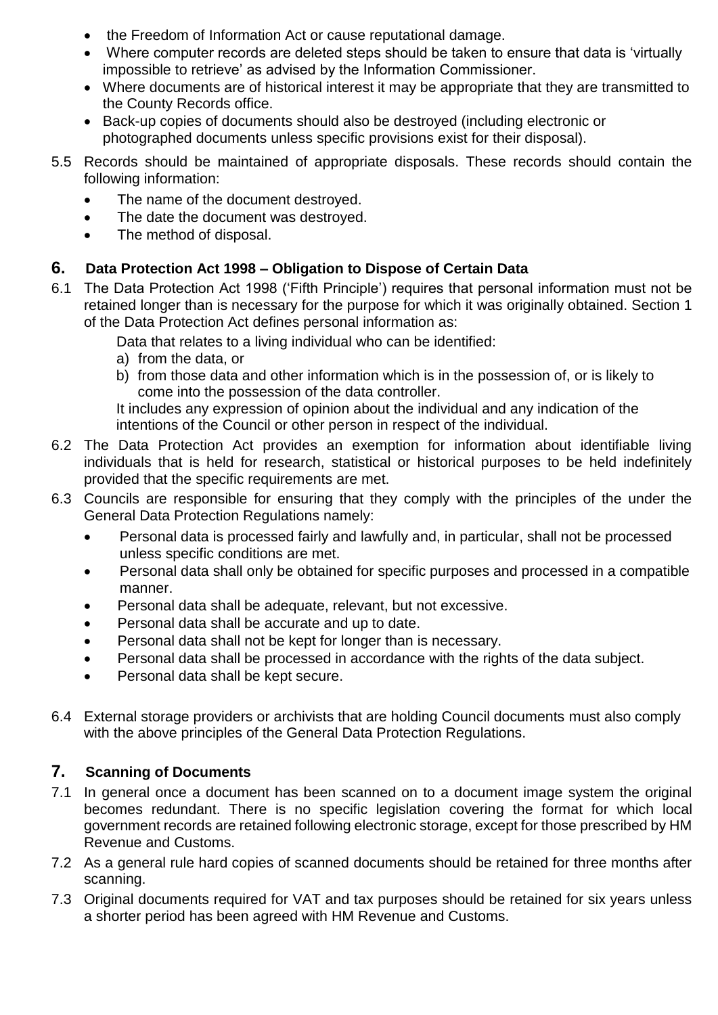- the Freedom of Information Act or cause reputational damage.
- Where computer records are deleted steps should be taken to ensure that data is 'virtually impossible to retrieve' as advised by the Information Commissioner.
- Where documents are of historical interest it may be appropriate that they are transmitted to the County Records office.
- Back-up copies of documents should also be destroyed (including electronic or photographed documents unless specific provisions exist for their disposal).
- 5.5 Records should be maintained of appropriate disposals. These records should contain the following information:
	- The name of the document destroyed.
	- The date the document was destroyed.
	- The method of disposal.

## **6. Data Protection Act 1998 – Obligation to Dispose of Certain Data**

6.1 The Data Protection Act 1998 ('Fifth Principle') requires that personal information must not be retained longer than is necessary for the purpose for which it was originally obtained. Section 1 of the Data Protection Act defines personal information as:

Data that relates to a living individual who can be identified:

- a) from the data, or
- b) from those data and other information which is in the possession of, or is likely to come into the possession of the data controller.

It includes any expression of opinion about the individual and any indication of the intentions of the Council or other person in respect of the individual.

- 6.2 The Data Protection Act provides an exemption for information about identifiable living individuals that is held for research, statistical or historical purposes to be held indefinitely provided that the specific requirements are met.
- 6.3 Councils are responsible for ensuring that they comply with the principles of the under the General Data Protection Regulations namely:
	- Personal data is processed fairly and lawfully and, in particular, shall not be processed unless specific conditions are met.
	- Personal data shall only be obtained for specific purposes and processed in a compatible manner.
	- Personal data shall be adequate, relevant, but not excessive.
	- Personal data shall be accurate and up to date.
	- Personal data shall not be kept for longer than is necessary.
	- Personal data shall be processed in accordance with the rights of the data subject.
	- Personal data shall be kept secure.
- 6.4 External storage providers or archivists that are holding Council documents must also comply with the above principles of the General Data Protection Regulations.

## **7. Scanning of Documents**

- 7.1 In general once a document has been scanned on to a document image system the original becomes redundant. There is no specific legislation covering the format for which local government records are retained following electronic storage, except for those prescribed by HM Revenue and Customs.
- 7.2 As a general rule hard copies of scanned documents should be retained for three months after scanning.
- 7.3 Original documents required for VAT and tax purposes should be retained for six years unless a shorter period has been agreed with HM Revenue and Customs.